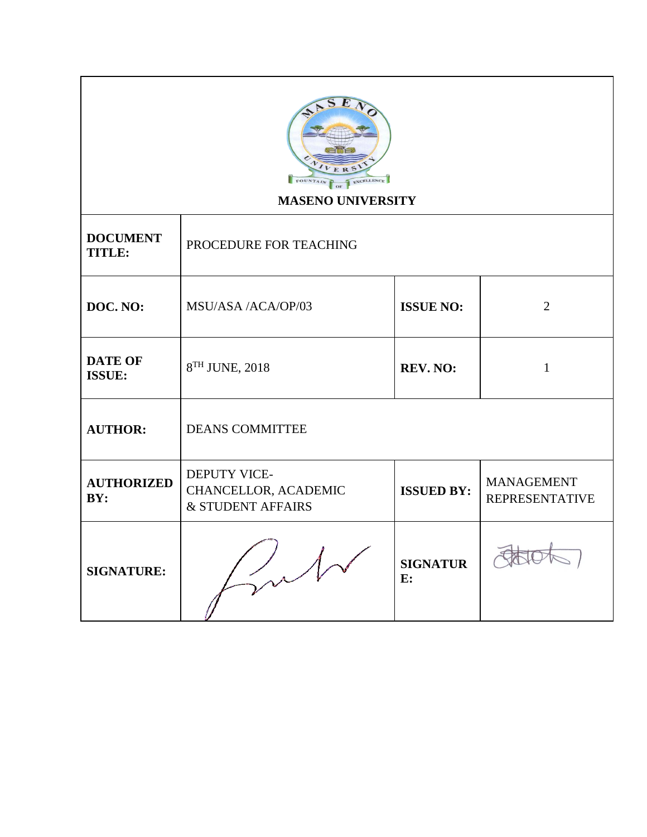

## **MASENO UNIVERSITY**

| <b>DOCUMENT</b><br><b>TITLE:</b> | PROCEDURE FOR TEACHING                                    |                       |                                            |
|----------------------------------|-----------------------------------------------------------|-----------------------|--------------------------------------------|
| DOC. NO:                         | MSU/ASA /ACA/OP/03                                        | <b>ISSUE NO:</b>      | $\overline{2}$                             |
| <b>DATE OF</b><br><b>ISSUE:</b>  | $8TH$ JUNE, 2018                                          | REV. NO:              | 1                                          |
| <b>AUTHOR:</b>                   | <b>DEANS COMMITTEE</b>                                    |                       |                                            |
| <b>AUTHORIZED</b><br>BY:         | DEPUTY VICE-<br>CHANCELLOR, ACADEMIC<br>& STUDENT AFFAIRS | <b>ISSUED BY:</b>     | <b>MANAGEMENT</b><br><b>REPRESENTATIVE</b> |
| <b>SIGNATURE:</b>                |                                                           | <b>SIGNATUR</b><br>E: |                                            |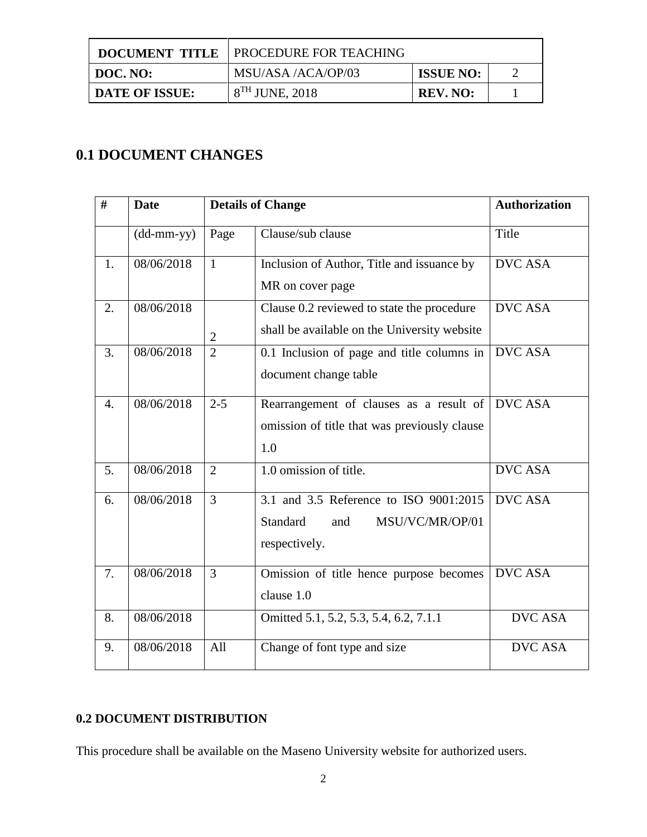|                       | <b>DOCUMENT TITLE   PROCEDURE FOR TEACHING</b> |                  |  |
|-----------------------|------------------------------------------------|------------------|--|
| DOC. NO:              | MSU/ASA /ACA/OP/03                             | <b>ISSUE NO:</b> |  |
| <b>DATE OF ISSUE:</b> | $8TH$ JUNE, 2018                               | REV. NO:         |  |

# **0.1 DOCUMENT CHANGES**

| #                | <b>Date</b>                |                | <b>Details of Change</b>                                                                       | <b>Authorization</b> |
|------------------|----------------------------|----------------|------------------------------------------------------------------------------------------------|----------------------|
|                  | $(dd\text{-}mm\text{-}yy)$ | Page           | Clause/sub clause                                                                              | Title                |
| 1.               | 08/06/2018                 | $\mathbf{1}$   | Inclusion of Author, Title and issuance by<br>MR on cover page                                 | <b>DVC ASA</b>       |
| $\overline{2}$ . | 08/06/2018                 | $\overline{2}$ | Clause 0.2 reviewed to state the procedure<br>shall be available on the University website     | <b>DVC ASA</b>       |
| 3.               | 08/06/2018                 | $\overline{2}$ | 0.1 Inclusion of page and title columns in<br>document change table                            | <b>DVC ASA</b>       |
| 4.               | 08/06/2018                 | $2 - 5$        | Rearrangement of clauses as a result of<br>omission of title that was previously clause<br>1.0 | <b>DVC ASA</b>       |
| 5.               | 08/06/2018                 | $\overline{2}$ | 1.0 omission of title.                                                                         | <b>DVC ASA</b>       |
| 6.               | 08/06/2018                 | $\overline{3}$ | 3.1 and 3.5 Reference to ISO 9001:2015<br>Standard<br>MSU/VC/MR/OP/01<br>and<br>respectively.  | <b>DVC ASA</b>       |
| 7.               | 08/06/2018                 | 3              | Omission of title hence purpose becomes<br>clause 1.0                                          | <b>DVC ASA</b>       |
| 8.               | 08/06/2018                 |                | Omitted 5.1, 5.2, 5.3, 5.4, 6.2, 7.1.1                                                         | <b>DVC ASA</b>       |
| 9.               | 08/06/2018                 | All            | Change of font type and size                                                                   | <b>DVC ASA</b>       |

### **0.2 DOCUMENT DISTRIBUTION**

This procedure shall be available on the Maseno University website for authorized users.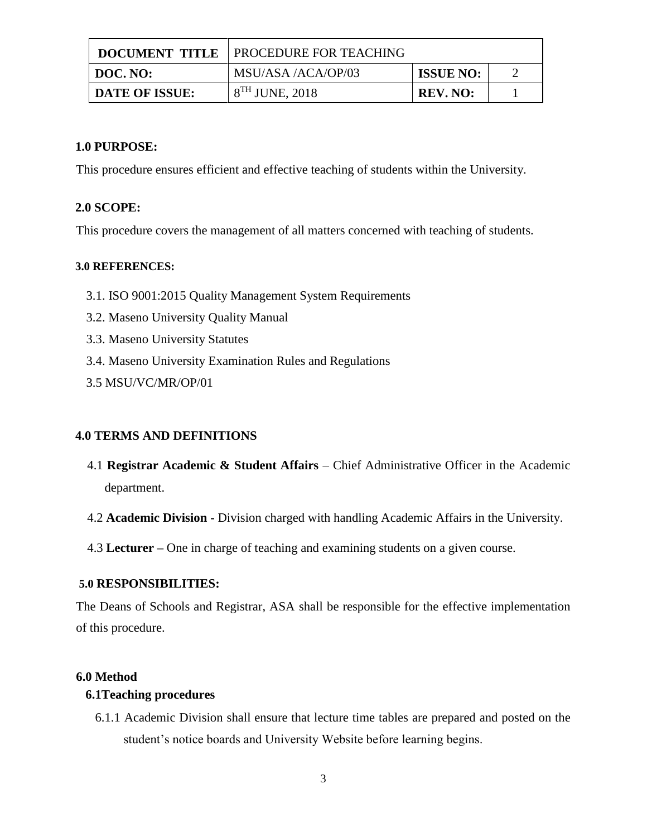|                       | <b>DOCUMENT TITLE   PROCEDURE FOR TEACHING</b> |                  |  |
|-----------------------|------------------------------------------------|------------------|--|
| DOC. NO:              | MSU/ASA /ACA/OP/03                             | <b>ISSUE NO:</b> |  |
| <b>DATE OF ISSUE:</b> | $8TH$ JUNE, 2018                               | REV. NO:         |  |

#### **1.0 PURPOSE:**

This procedure ensures efficient and effective teaching of students within the University.

#### **2.0 SCOPE:**

This procedure covers the management of all matters concerned with teaching of students.

#### **3.0 REFERENCES:**

- 3.1. ISO 9001:2015 Quality Management System Requirements
- 3.2. Maseno University Quality Manual
- 3.3. Maseno University Statutes
- 3.4. Maseno University Examination Rules and Regulations
- 3.5 MSU/VC/MR/OP/01

#### **4.0 TERMS AND DEFINITIONS**

- 4.1 **Registrar Academic & Student Affairs** Chief Administrative Officer in the Academic department.
- 4.2 **Academic Division -** Division charged with handling Academic Affairs in the University.
- 4.3 **Lecturer –** One in charge of teaching and examining students on a given course.

#### **5.0 RESPONSIBILITIES:**

The Deans of Schools and Registrar, ASA shall be responsible for the effective implementation of this procedure.

#### **6.0 Method**

#### **6.1Teaching procedures**

6.1.1 Academic Division shall ensure that lecture time tables are prepared and posted on the student's notice boards and University Website before learning begins.